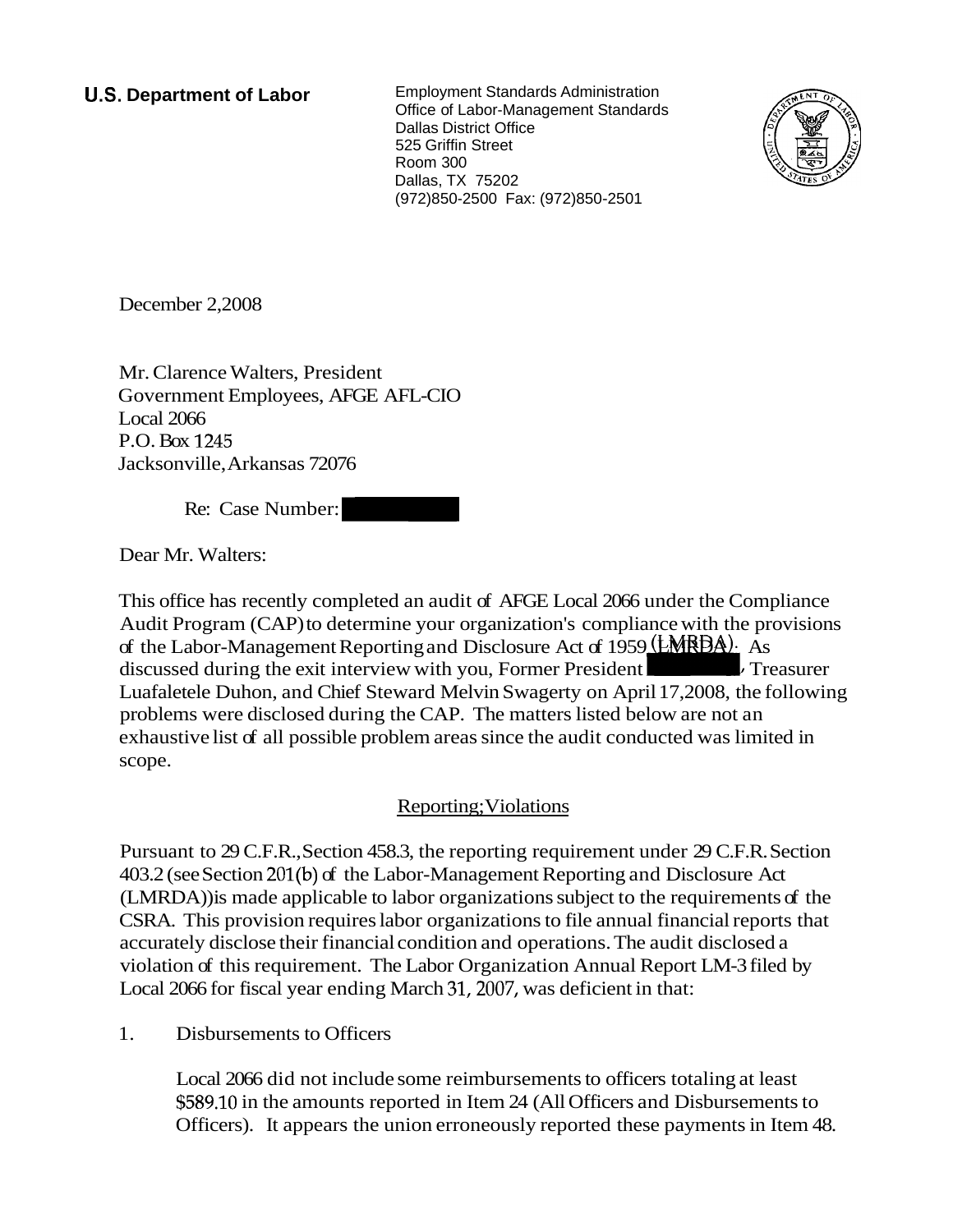**U.S. Department of Labor** Employment Standards Administration Office of Labor-Management Standards Dallas District Office 525 Griffin Street Room 300 Dallas, TX 75202 (972)850-2500 Fax: (972)850-2501



December 2,2008

Mr. Clarence Walters, President Government Employees, AFGE AFL-CIO Local 2066 P.O. Box 1245 Jacksonville, Arkansas 72076 Dallas, TX 75202<br>
(972)850-2500 Fax: (972)850<br>
(972)850-2500 Fax: (972)850<br>
e Walters, President<br>
t Employees, AFGE AFL-CIO<br>
15<br>
e, Arkansas 72076<br>
Case Number:<br>
alters:

Re: Case Number:

Dear Mr. Walters:

This office has recently completed an audit of AFGE Local 2066 under the Compliance Audit Program (CAP) to determine your organization's compliance with the provisions of the Labor-Management Reporting and Disclosure Act of 1959 ( $EMRBA$ ). As discussed during the exit interview with you, Former President **heating** Treasurer Luafaletele Duhon, and Chief Steward Melvin Swagerty on April 17,2008, the following problems were disclosed during the CAP. The matters listed below are not an exhaustive list of all possible problem areas since the audit conducted was limited in scope.

## Reporting; Violations

Pursuant to 29 C.F.R., Section 458.3, the reporting requirement under 29 C.F.R. Section 403.2 (see Section 201(b) of the Labor-Management Reporting and Disclosure Act (LMRDA)) is made applicable to labor organizations subject to the requirements of the CSRA. This provision requires labor organizations to file annual financial reports that accurately disclose their financial condition and operations. The audit disclosed a violation of this requirement. The Labor Organization Annual Report LM-3 filed by Local 2066 for fiscal year ending March 31,2007, was deficient in that:

1. Disbursements to Officers

Local 2066 did not include some reimbursements to officers totaling at least \$589.10 in the amounts reported in Item 24 (All Officers and Disbursements to Officers). It appears the union erroneously reported these payments in Item 48.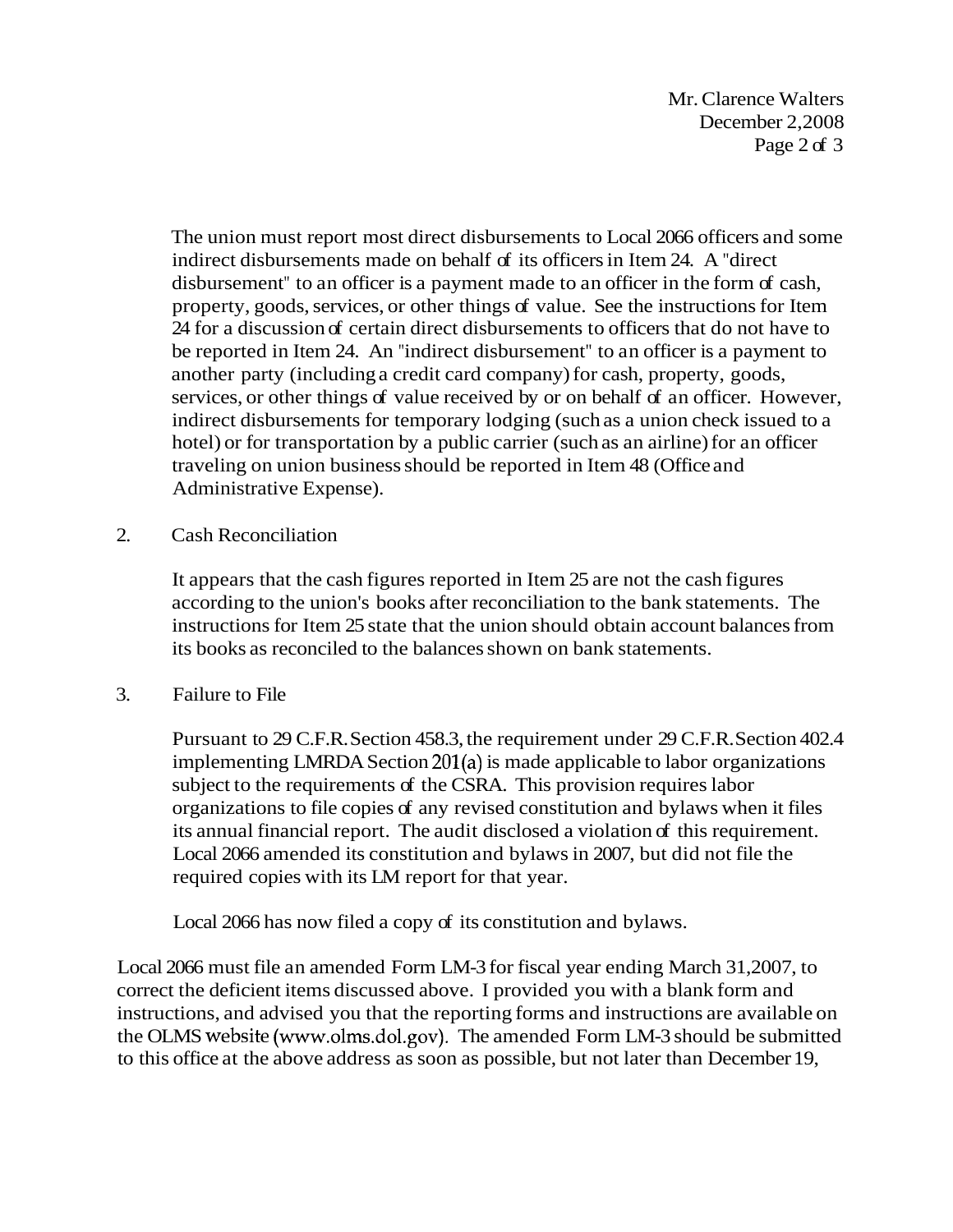Mr. Clarence Walters December 2,2008 Page 2 of 3

The union must report most direct disbursements to Local 2066 officers and some indirect disbursements made on behalf of its officers in Item 24. A "direct disbursement" to an officer is a payment made to an officer in the form of cash, property, goods, services, or other things of value. See the instructions for Item 24 for a discussion of certain direct disbursements to officers that do not have to be reported in Item 24. An "indirect disbursement" to an officer is a payment to another party (including a credit card company) for cash, property, goods, services, or other things of value received by or on behalf of an officer. However, indirect disbursements for temporary lodging (such as a union check issued to a hotel) or for transportation by a public carrier (such as an airline) for an officer traveling on union business should be reported in Item 48 (Office and Administrative Expense).

2. Cash Reconciliation

It appears that the cash figures reported in Item 25 are not the cash figures according to the union's books after reconciliation to the bank statements. The instructions for Item 25 state that the union should obtain account balances from its books as reconciled to the balances shown on bank statements.

3. Failure to File

Pursuant to 29 C.F.R. Section 458.3, the requirement under 29 C.F.R. Section 402.4 implementing LMRDA Section 201(a) is made applicable to labor organizations subject to the requirements of the CSRA. This provision requires labor organizations to file copies of any revised constitution and bylaws when it files its annual financial report. The audit disclosed a violation of this requirement. Local 2066 amended its constitution and bylaws in 2007, but did not file the required copies with its LM report for that year.

Local 2066 has now filed a copy of its constitution and bylaws.

Local 2066 must file an amended Form LM-3 for fiscal year ending March 31,2007, to correct the deficient items discussed above. I provided you with a blank form and instructions, and advised you that the reporting forms and instructions are available on the OLMS website (www.olms.dol.gov). The amended Form LM-3 should be submitted to this office at the above address as soon as possible, but not later than December 19,